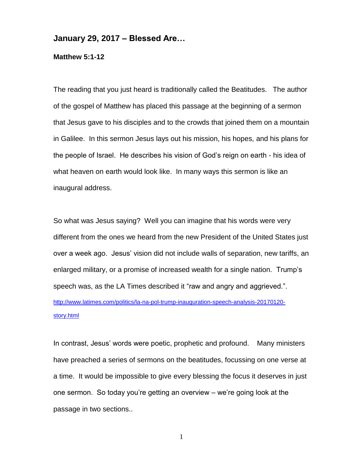## **January 29, 2017 – Blessed Are…**

**Matthew 5:1-12**

The reading that you just heard is traditionally called the Beatitudes. The author of the gospel of Matthew has placed this passage at the beginning of a sermon that Jesus gave to his disciples and to the crowds that joined them on a mountain in Galilee. In this sermon Jesus lays out his mission, his hopes, and his plans for the people of Israel. He describes his vision of God's reign on earth - his idea of what heaven on earth would look like. In many ways this sermon is like an inaugural address.

So what was Jesus saying? Well you can imagine that his words were very different from the ones we heard from the new President of the United States just over a week ago. Jesus' vision did not include walls of separation, new tariffs, an enlarged military, or a promise of increased wealth for a single nation. Trump's speech was, as the LA Times described it "raw and angry and aggrieved.". [http://www.latimes.com/politics/la-na-pol-trump-inauguration-speech-analysis-20170120](http://www.latimes.com/politics/la-na-pol-trump-inauguration-speech-analysis-20170120-story.html) [story.html](http://www.latimes.com/politics/la-na-pol-trump-inauguration-speech-analysis-20170120-story.html) 

In contrast, Jesus' words were poetic, prophetic and profound. Many ministers have preached a series of sermons on the beatitudes, focussing on one verse at a time. It would be impossible to give every blessing the focus it deserves in just one sermon. So today you're getting an overview – we're going look at the passage in two sections..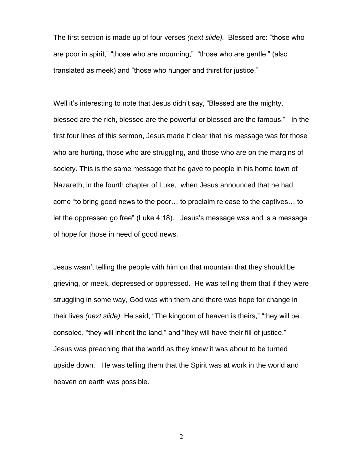The first section is made up of four verses *(next slide).* Blessed are: "those who are poor in spirit," "those who are mourning," "those who are gentle," (also translated as meek) and "those who hunger and thirst for justice."

Well it's interesting to note that Jesus didn't say, "Blessed are the mighty, blessed are the rich, blessed are the powerful or blessed are the famous." In the first four lines of this sermon, Jesus made it clear that his message was for those who are hurting, those who are struggling, and those who are on the margins of society. This is the same message that he gave to people in his home town of Nazareth, in the fourth chapter of Luke, when Jesus announced that he had come "to bring good news to the poor… to proclaim release to the captives… to let the oppressed go free" (Luke 4:18). Jesus's message was and is a message of hope for those in need of good news.

Jesus wasn't telling the people with him on that mountain that they should be grieving, or meek, depressed or oppressed. He was telling them that if they were struggling in some way, God was with them and there was hope for change in their lives *(next slide)*. He said, "The kingdom of heaven is theirs," "they will be consoled, "they will inherit the land," and "they will have their fill of justice." Jesus was preaching that the world as they knew it was about to be turned upside down. He was telling them that the Spirit was at work in the world and heaven on earth was possible.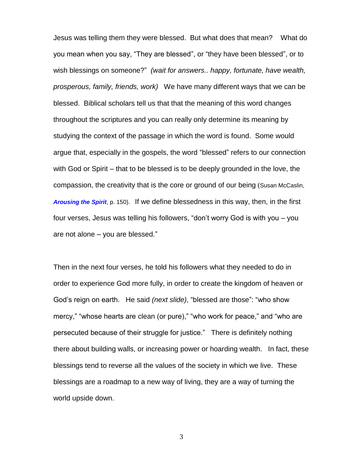Jesus was telling them they were blessed. But what does that mean? What do you mean when you say, "They are blessed", or "they have been blessed", or to wish blessings on someone?" *(wait for answers.. happy, fortunate, have wealth, prosperous, family, friends, work)* We have many different ways that we can be blessed. Biblical scholars tell us that that the meaning of this word changes throughout the scriptures and you can really only determine its meaning by studying the context of the passage in which the word is found. Some would argue that, especially in the gospels, the word "blessed" refers to our connection with God or Spirit – that to be blessed is to be deeply grounded in the love, the compassion, the creativity that is the core or ground of our being (Susan McCaslin, *[Arousing](http://news.woodlakebooks.com/t/r-l-ykdjkdyk-iyhjjjplh-b/) the Spirit*, p. 150). If we define blessedness in this way, then, in the first four verses, Jesus was telling his followers, "don't worry God is with you – you are not alone – you are blessed."

Then in the next four verses, he told his followers what they needed to do in order to experience God more fully, in order to create the kingdom of heaven or God's reign on earth. He said *(next slide)*, "blessed are those": "who show mercy," "whose hearts are clean (or pure)," "who work for peace," and "who are persecuted because of their struggle for justice." There is definitely nothing there about building walls, or increasing power or hoarding wealth. In fact, these blessings tend to reverse all the values of the society in which we live. These blessings are a roadmap to a new way of living, they are a way of turning the world upside down.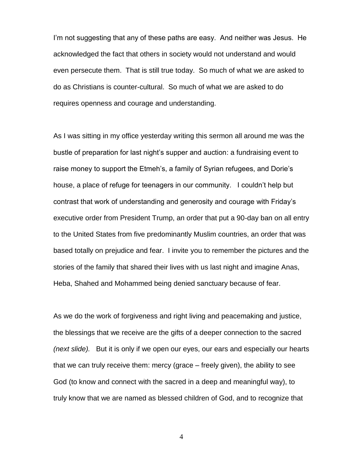I'm not suggesting that any of these paths are easy. And neither was Jesus. He acknowledged the fact that others in society would not understand and would even persecute them. That is still true today. So much of what we are asked to do as Christians is counter-cultural. So much of what we are asked to do requires openness and courage and understanding.

As I was sitting in my office yesterday writing this sermon all around me was the bustle of preparation for last night's supper and auction: a fundraising event to raise money to support the Etmeh's, a family of Syrian refugees, and Dorie's house, a place of refuge for teenagers in our community. I couldn't help but contrast that work of understanding and generosity and courage with Friday's executive order from President Trump, an order that put a 90-day ban on all entry to the United States from five predominantly Muslim countries, an order that was based totally on prejudice and fear. I invite you to remember the pictures and the stories of the family that shared their lives with us last night and imagine Anas, Heba, Shahed and Mohammed being denied sanctuary because of fear.

As we do the work of forgiveness and right living and peacemaking and justice, the blessings that we receive are the gifts of a deeper connection to the sacred *(next slide).* But it is only if we open our eyes, our ears and especially our hearts that we can truly receive them: mercy (grace – freely given), the ability to see God (to know and connect with the sacred in a deep and meaningful way), to truly know that we are named as blessed children of God, and to recognize that